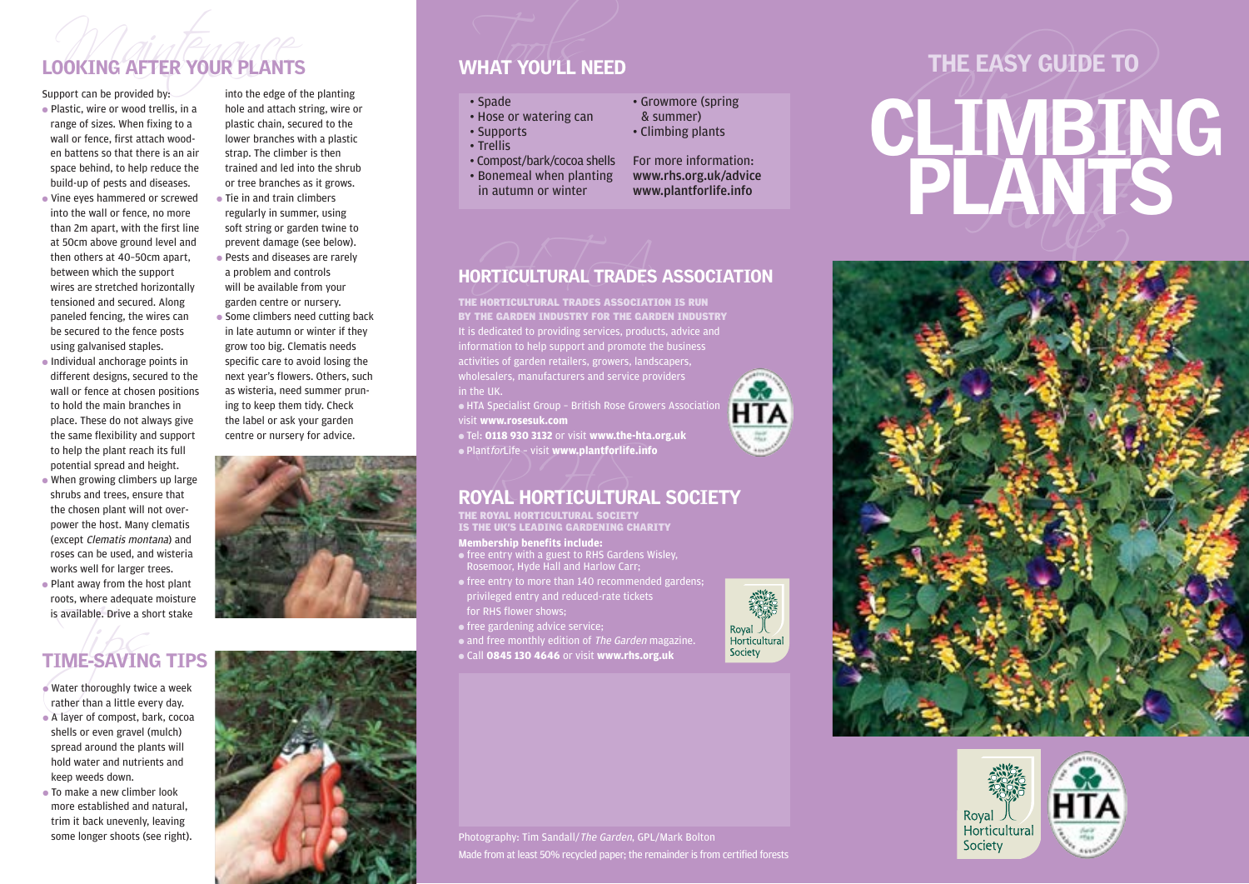# Support can be provided by:<br>Support can be provided by: into the edge of the planting<br>Support can be provided by: into the edge of the planting LOOKING AFTER YOUR PLANTS WHAT YOU'LL NEED

- Plastic, wire or wood trellis, in a range of sizes. When fixing to a wall or fence, first attach wooden battens so that there is an air space behind, to help reduce the build-up of pests and diseases.
- Vine eyes hammered or screwed into the wall or fence, no more than 2m apart, with the first line at 50cm above ground level and then others at 40–50cm apart, between which the support wires are stretched horizontally tensioned and secured. Along paneled fencing, the wires can be secured to the fence posts using galvanised staples.
- Individual anchorage points in different designs, secured to the wall or fence at chosen positions to hold the main branches in place. These do not always give the same flexibility and support to help the plant reach its full potential spread and height.
- When growing climbers up large shrubs and trees, ensure that the chosen plant will not overpower the host. Many clematis (except Clematis montana) and roses can be used, and wisteria works well for larger trees.
- Plant away from the host plant roots, where adequate moisture is available. Drive a short stake

# TIME-SAVING TIPS

- is available. Drive a sh<br>
TIME-SAVIN<br>
Water thoroughly twice<br>
rather than a little eve ● Water thoroughly twice a week rather than a little every day.
- A layer of compost, bark, cocoa shells or even gravel (mulch) spread around the plants will hold water and nutrients and keep weeds down.
- To make a new climber look more established and natural, trim it back unevenly, leaving some longer shoots (see right).

into the edge of the planting hole and attach string, wire or plastic chain, secured to the lower branches with a plastic strap. The climber is then trained and led into the shrub or tree branches as it grows. ● Tie in and train climbers

regularly in summer, using soft string or garden twine to prevent damage (see below). ● Pests and diseases are rarely a problem and controls will be available from your garden centre or nursery.

• Some climbers need cutting back in late autumn or winter if they grow too big. Clematis needs specific care to avoid losing the next year's flowers. Others, such as wisteria, need summer pruning to keep them tidy. Check the label or ask your garden centre or nursery for advice.





- 
- 
- 
- 



- 
- 
- 





## HORTICULTURAL TRADES ASSOCIATION

THE HORTICULTURAL TRADES ASSOCIATION IS RUN BY THE GARDEN INDUSTRY FOR THE GARDEN INDUSTRY It is dedicated to providing services, products, advice and information to help support and promote the business activities of garden retailers, growers, landscapers, **HTA** in the UK.

● HTA Specialist Group – British Rose Growers Association visit **www.rosesuk.com**

● Tel: **0118 930 3132** or visit **www.the-hta.org.uk** ● PlantforLife – visit **www.plantforlife.info**

# $\bullet$  Plant*for*Life – visit www.plantforlife.info<br>ROYAL HORTICULTURAL SOCIETY

THE ROYAL HORTICULTURAL SOCIETY<br>IS THE UK'S LEADING GARDENING CHARITY

### **Membership benefits include:**

- free entry with a guest to RHS Gardens Wisley, Rosemoor, Hyde Hall and Harlow Carr;
- free entry to more than 140 recommended gardens; privileged entry and reduced-rate tickets for RHS flower shows;
- free gardening advice service;
- and free monthly edition of The Garden magazine.
- Call **0845 130 4646** or visit **www.rhs.org.uk**



# VHAT YOU'LL NEED<br>
. Spade<br>
. Hose or watering can<br>
. Supports . Climbing plants<br>
. Trellis<br>
. Compost/bark/cocoa shells<br>
. Tending News, Plant in the space of the planting<br>
in autumn or winter www.plantforlife.info<br>
in aut







Photography: Tim Sandall/The Garden, GPL/Mark Bolton

Royal 人<br>Horticultural